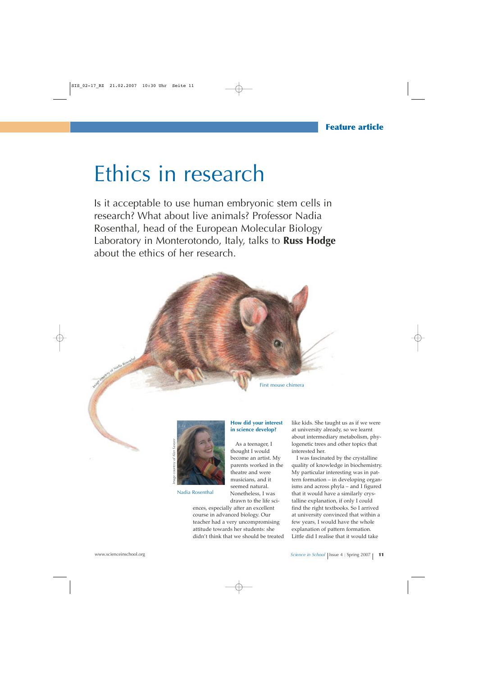# Ethics in research

Is it acceptable to use human embryonic stem cells in research? What about live animals? Professor Nadia Rosenthal, head of the European Molecular Biology Laboratory in Monterotondo, Italy, talks to **Russ Hodge** about the ethics of her research.





Nadia Rosenthal

#### **How did your interest in science develop?**

As a teenager, I thought I would become an artist. My parents worked in the theatre and were musicians, and it seemed natural. Nonetheless, I was drawn to the life sci-

ences, especially after an excellent course in advanced biology. Our teacher had a very uncompromising attitude towards her students: she didn't think that we should be treated like kids. She taught us as if we were at university already, so we learnt about intermediary metabolism, phylogenetic trees and other topics that interested her.

I was fascinated by the crystalline quality of knowledge in biochemistry. My particular interesting was in pattern formation – in developing organisms and across phyla – and I figured that it would have a similarly crystalline explanation, if only I could find the right textbooks. So I arrived at university convinced that within a few years, I would have the whole explanation of pattern formation. Little did I realise that it would take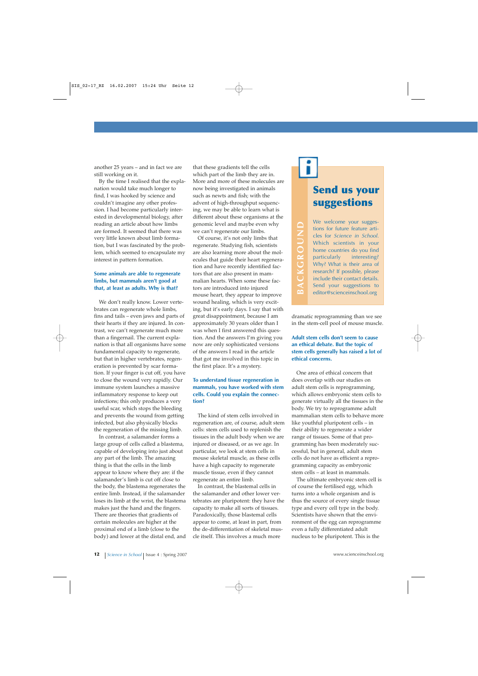another 25 years – and in fact we are still working on it.

By the time I realised that the explanation would take much longer to find, I was hooked by science and couldn't imagine any other profession. I had become particularly interested in developmental biology, after reading an article about how limbs are formed. It seemed that there was very little known about limb formation, but I was fascinated by the problem, which seemed to encapsulate my interest in pattern formation.

#### **Some animals are able to regenerate limbs, but mammals aren't good at that, at least as adults. Why is that?**

We don't really know. Lower vertebrates can regenerate whole limbs, fins and tails – even jaws and parts of their hearts if they are injured. In contrast, we can't regenerate much more than a fingernail. The current explanation is that all organisms have some fundamental capacity to regenerate, but that in higher vertebrates, regeneration is prevented by scar formation. If your finger is cut off, you have to close the wound very rapidly. Our immune system launches a massive inflammatory response to keep out infections; this only produces a very useful scar, which stops the bleeding and prevents the wound from getting infected, but also physically blocks the regeneration of the missing limb.

In contrast, a salamander forms a large group of cells called a blastema, capable of developing into just about any part of the limb. The amazing thing is that the cells in the limb appear to know where they are: if the salamander's limb is cut off close to the body, the blastema regenerates the entire limb. Instead, if the salamander loses its limb at the wrist, the blastema makes just the hand and the fingers. There are theories that gradients of certain molecules are higher at the proximal end of a limb (close to the body) and lower at the distal end, and that these gradients tell the cells which part of the limb they are in. More and more of these molecules are now being investigated in animals such as newts and fish; with the advent of high-throughput sequencing, we may be able to learn what is different about these organisms at the genomic level and maybe even why we can't regenerate our limbs.

Of course, it's not only limbs that regenerate. Studying fish, scientists are also learning more about the molecules that guide their heart regeneration and have recently identified factors that are also present in mammalian hearts. When some these factors are introduced into injured mouse heart, they appear to improve wound healing, which is very exciting, but it's early days. I say that with great disappointment, because I am approximately 30 years older than I was when I first answered this question. And the answers I'm giving you now are only sophisticated versions of the answers I read in the article that got me involved in this topic in the first place. It's a mystery.

#### **To understand tissue regeneration in mammals, you have worked with stem cells. Could you explain the connection?**

The kind of stem cells involved in regeneration are, of course, adult stem cells: stem cells used to replenish the tissues in the adult body when we are injured or diseased, or as we age. In particular, we look at stem cells in mouse skeletal muscle, as these cells have a high capacity to regenerate muscle tissue, even if they cannot regenerate an entire limb.

In contrast, the blastemal cells in the salamander and other lower vertebrates are pluripotent: they have the capacity to make all sorts of tissues. Paradoxically, those blastemal cells appear to come, at least in part, from the de-differentiation of skeletal muscle itself. This involves a much more

## **Send us your suggestions**

We welcome your suggestions for future feature articles for *Science in School*. Which scientists in your home countries do you find<br>particularly interesting? particularly Why? What is their area of research? If possible, please include their contact details. Send your suggestions to editor@scienceinschool.org

**BACKGROUND**

BACKGROUND

dramatic reprogramming than we see in the stem-cell pool of mouse muscle.

#### **Adult stem cells don't seem to cause an ethical debate. But the topic of stem cells generally has raised a lot of ethical concerns.**

One area of ethical concern that does overlap with our studies on adult stem cells is reprogramming, which allows embryonic stem cells to generate virtually all the tissues in the body. We try to reprogramme adult mammalian stem cells to behave more like youthful pluripotent cells – in their ability to regenerate a wider range of tissues. Some of that programming has been moderately successful, but in general, adult stem cells do not have as efficient a reprogramming capacity as embryonic stem cells – at least in mammals.

The ultimate embryonic stem cell is of course the fertilised egg, which turns into a whole organism and is thus the source of every single tissue type and every cell type in the body. Scientists have shown that the environment of the egg can reprogramme even a fully differentiated adult nucleus to be pluripotent. This is the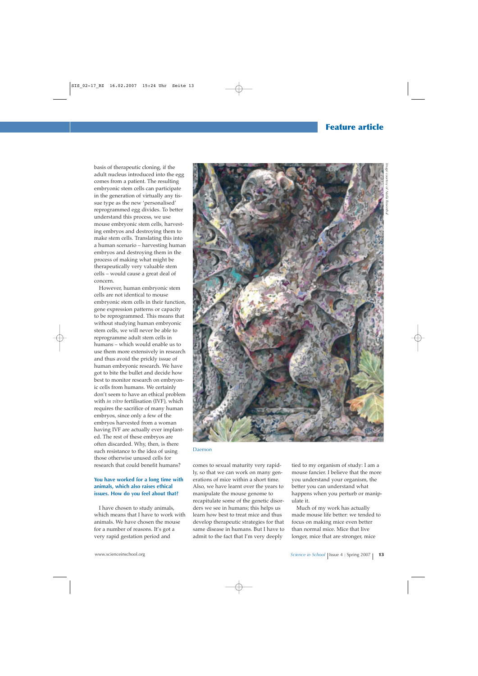### **Feature article**

basis of therapeutic cloning, if the adult nucleus introduced into the egg comes from a patient. The resulting embryonic stem cells can participate in the generation of virtually any tissue type as the new 'personalised' reprogrammed egg divides. To better understand this process, we use mouse embryonic stem cells, harvesting embryos and destroying them to make stem cells. Translating this into a human scenario – harvesting human embryos and destroying them in the process of making what might be therapeutically very valuable stem cells – would cause a great deal of concern.

However, human embryonic stem cells are not identical to mouse embryonic stem cells in their function, gene expression patterns or capacity to be reprogrammed. This means that without studying human embryonic stem cells, we will never be able to reprogramme adult stem cells in humans – which would enable us to use them more extensively in research and thus avoid the prickly issue of human embryonic research. We have got to bite the bullet and decide how best to monitor research on embryonic cells from humans. We certainly don't seem to have an ethical problem with *in vitro* fertilisation (IVF), which requires the sacrifice of many human embryos, since only a few of the embryos harvested from a woman having IVF are actually ever implanted. The rest of these embryos are often discarded. Why, then, is there such resistance to the idea of using those otherwise unused cells for research that could benefit humans?

#### **You have worked for a long time with animals, which also raises ethical issues. How do you feel about that?**

I have chosen to study animals, which means that I have to work with animals. We have chosen the mouse for a number of reasons. It's got a very rapid gestation period and



#### Daemon

comes to sexual maturity very rapidly, so that we can work on many generations of mice within a short time. Also, we have learnt over the years to manipulate the mouse genome to recapitulate some of the genetic disorders we see in humans; this helps us learn how best to treat mice and thus develop therapeutic strategies for that same disease in humans. But I have to admit to the fact that I'm very deeply

tied to my organism of study: I am a mouse fancier. I believe that the more you understand your organism, the better you can understand what happens when you perturb or manipulate it.

Much of my work has actually made mouse life better: we tended to focus on making mice even better than normal mice. Mice that live longer, mice that are stronger, mice